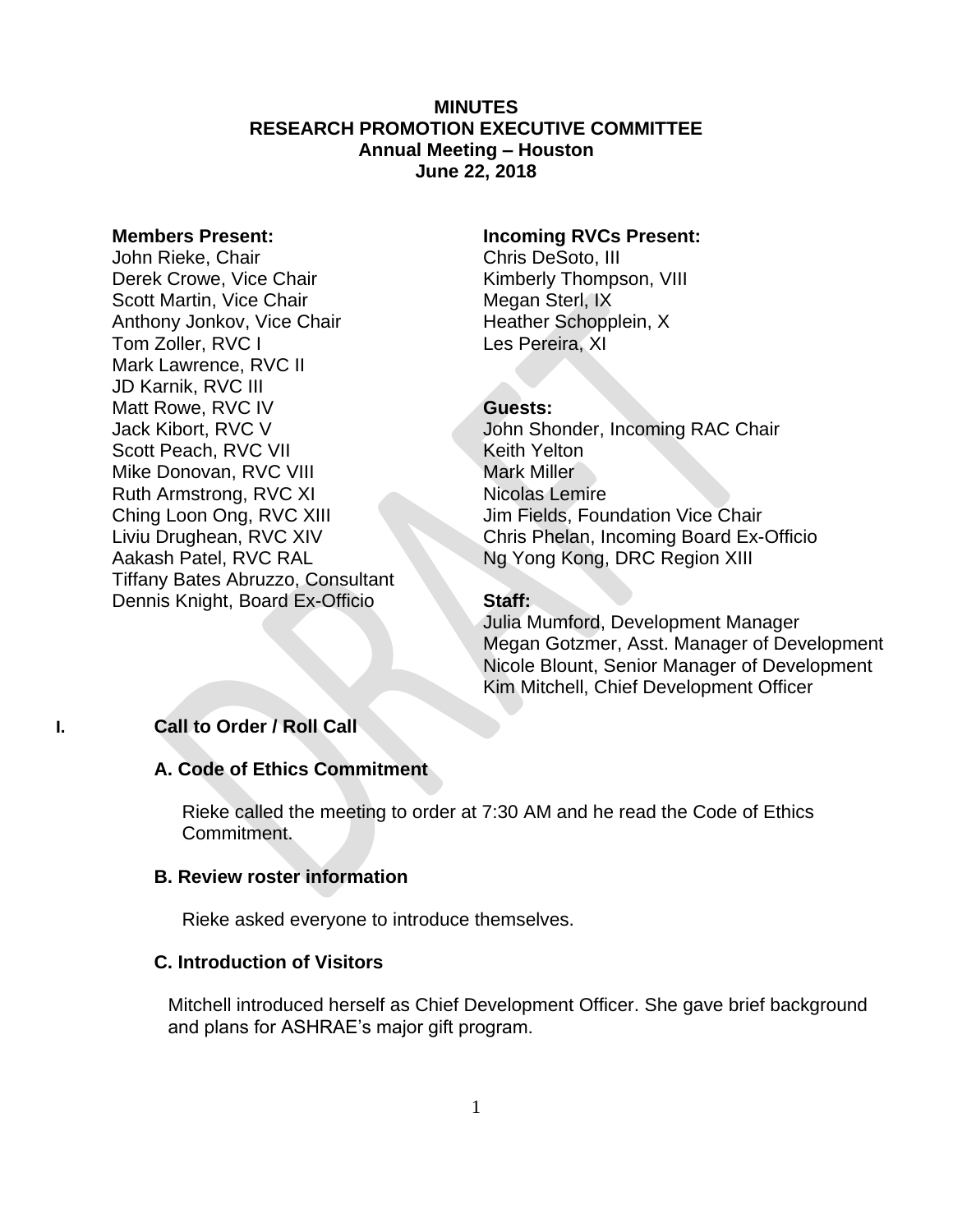## **MINUTES RESEARCH PROMOTION EXECUTIVE COMMITTEE Annual Meeting – Houston June 22, 2018**

## **Members Present:**

John Rieke, Chair Derek Crowe, Vice Chair Scott Martin, Vice Chair Anthony Jonkov, Vice Chair Tom Zoller, RVC I Mark Lawrence, RVC II JD Karnik, RVC III Matt Rowe, RVC IV Jack Kibort, RVC V Scott Peach, RVC VII Mike Donovan, RVC VIII Ruth Armstrong, RVC XI Ching Loon Ong, RVC XIII Liviu Drughean, RVC XIV Aakash Patel, RVC RAL Tiffany Bates Abruzzo, Consultant Dennis Knight, Board Ex-Officio

#### **Incoming RVCs Present:**

Chris DeSoto, III Kimberly Thompson, VIII Megan Sterl, IX Heather Schopplein, X Les Pereira, XI

#### **Guests:**

John Shonder, Incoming RAC Chair Keith Yelton Mark Miller Nicolas Lemire Jim Fields, Foundation Vice Chair Chris Phelan, Incoming Board Ex-Officio Ng Yong Kong, DRC Region XIII

#### **Staff:**

Julia Mumford, Development Manager Megan Gotzmer, Asst. Manager of Development Nicole Blount, Senior Manager of Development Kim Mitchell, Chief Development Officer

## **I. Call to Order / Roll Call**

## **A. Code of Ethics Commitment**

Rieke called the meeting to order at 7:30 AM and he read the Code of Ethics Commitment.

## **B. Review roster information**

Rieke asked everyone to introduce themselves.

#### **C. Introduction of Visitors**

Mitchell introduced herself as Chief Development Officer. She gave brief background and plans for ASHRAE's major gift program.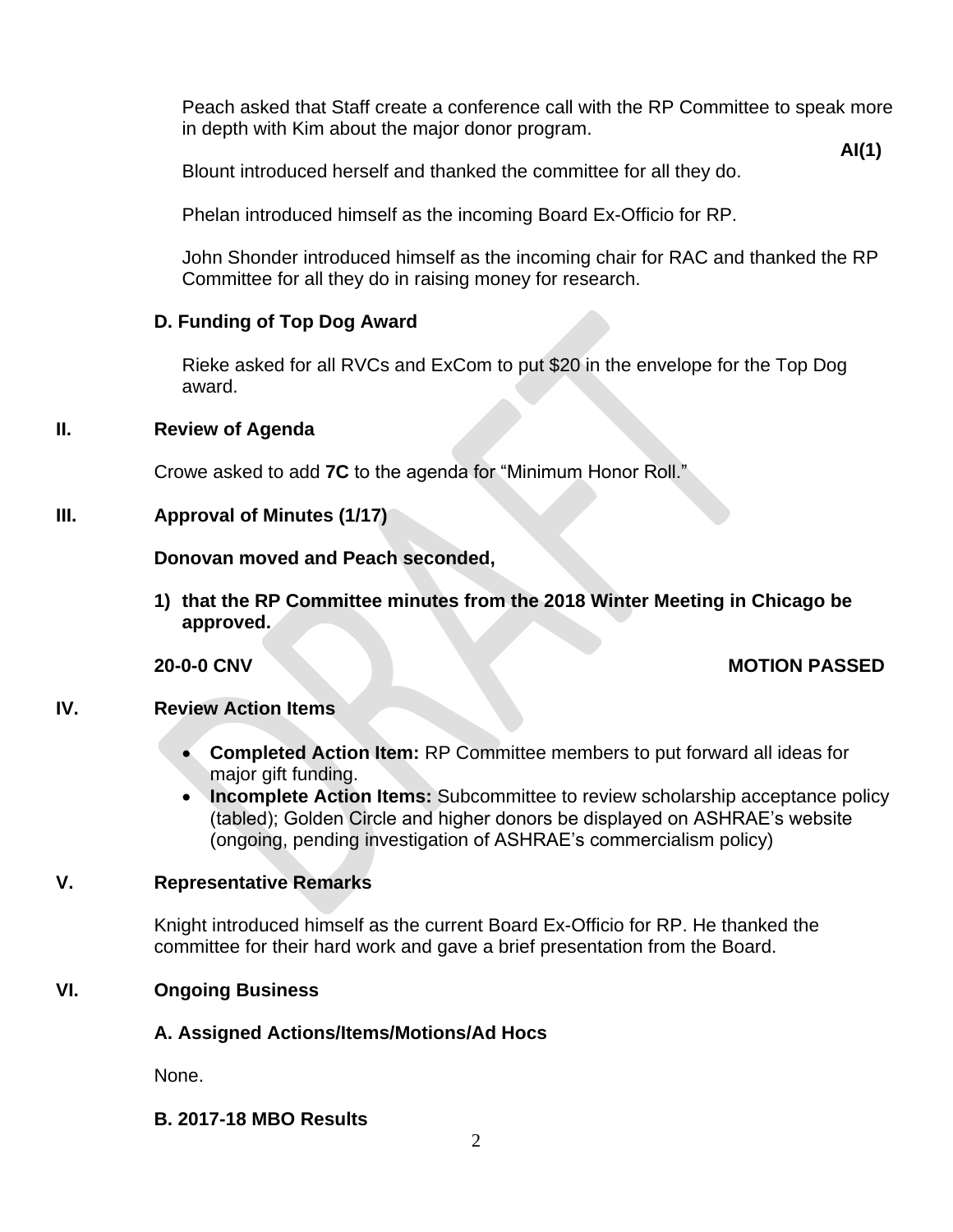Peach asked that Staff create a conference call with the RP Committee to speak more in depth with Kim about the major donor program.

**AI(1)**

Blount introduced herself and thanked the committee for all they do.

Phelan introduced himself as the incoming Board Ex-Officio for RP.

John Shonder introduced himself as the incoming chair for RAC and thanked the RP Committee for all they do in raising money for research.

## **D. Funding of Top Dog Award**

Rieke asked for all RVCs and ExCom to put \$20 in the envelope for the Top Dog award.

## **II. Review of Agenda**

Crowe asked to add **7C** to the agenda for "Minimum Honor Roll."

## **III. Approval of Minutes (1/17)**

**Donovan moved and Peach seconded,**

**1) that the RP Committee minutes from the 2018 Winter Meeting in Chicago be approved.** 

## **20-0-0 CNV MOTION PASSED**

## **IV. Review Action Items**

- **Completed Action Item:** RP Committee members to put forward all ideas for major gift funding.
- **Incomplete Action Items:** Subcommittee to review scholarship acceptance policy (tabled); Golden Circle and higher donors be displayed on ASHRAE's website (ongoing, pending investigation of ASHRAE's commercialism policy)

## **V. Representative Remarks**

Knight introduced himself as the current Board Ex-Officio for RP. He thanked the committee for their hard work and gave a brief presentation from the Board.

## **VI. Ongoing Business**

## **A. Assigned Actions/Items/Motions/Ad Hocs**

None.

## **B. 2017-18 MBO Results**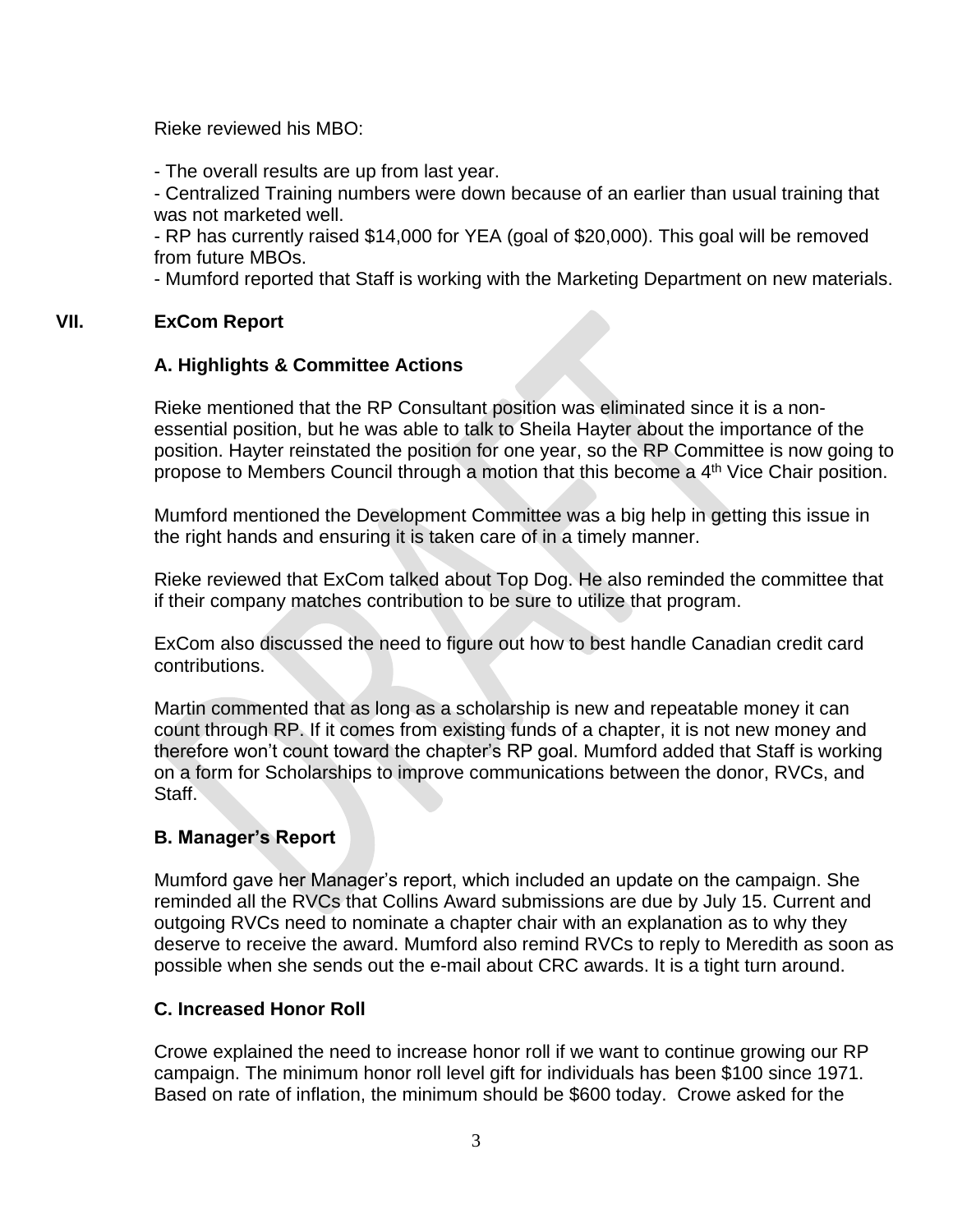Rieke reviewed his MBO:

- The overall results are up from last year.

- Centralized Training numbers were down because of an earlier than usual training that was not marketed well.

- RP has currently raised \$14,000 for YEA (goal of \$20,000). This goal will be removed from future MBOs.

- Mumford reported that Staff is working with the Marketing Department on new materials.

## **VII. ExCom Report**

## **A. Highlights & Committee Actions**

Rieke mentioned that the RP Consultant position was eliminated since it is a nonessential position, but he was able to talk to Sheila Hayter about the importance of the position. Hayter reinstated the position for one year, so the RP Committee is now going to propose to Members Council through a motion that this become a 4<sup>th</sup> Vice Chair position.

Mumford mentioned the Development Committee was a big help in getting this issue in the right hands and ensuring it is taken care of in a timely manner.

Rieke reviewed that ExCom talked about Top Dog. He also reminded the committee that if their company matches contribution to be sure to utilize that program.

ExCom also discussed the need to figure out how to best handle Canadian credit card contributions.

Martin commented that as long as a scholarship is new and repeatable money it can count through RP. If it comes from existing funds of a chapter, it is not new money and therefore won't count toward the chapter's RP goal. Mumford added that Staff is working on a form for Scholarships to improve communications between the donor, RVCs, and Staff.

## **B. Manager's Report**

Mumford gave her Manager's report, which included an update on the campaign. She reminded all the RVCs that Collins Award submissions are due by July 15. Current and outgoing RVCs need to nominate a chapter chair with an explanation as to why they deserve to receive the award. Mumford also remind RVCs to reply to Meredith as soon as possible when she sends out the e-mail about CRC awards. It is a tight turn around.

## **C. Increased Honor Roll**

Crowe explained the need to increase honor roll if we want to continue growing our RP campaign. The minimum honor roll level gift for individuals has been \$100 since 1971. Based on rate of inflation, the minimum should be \$600 today. Crowe asked for the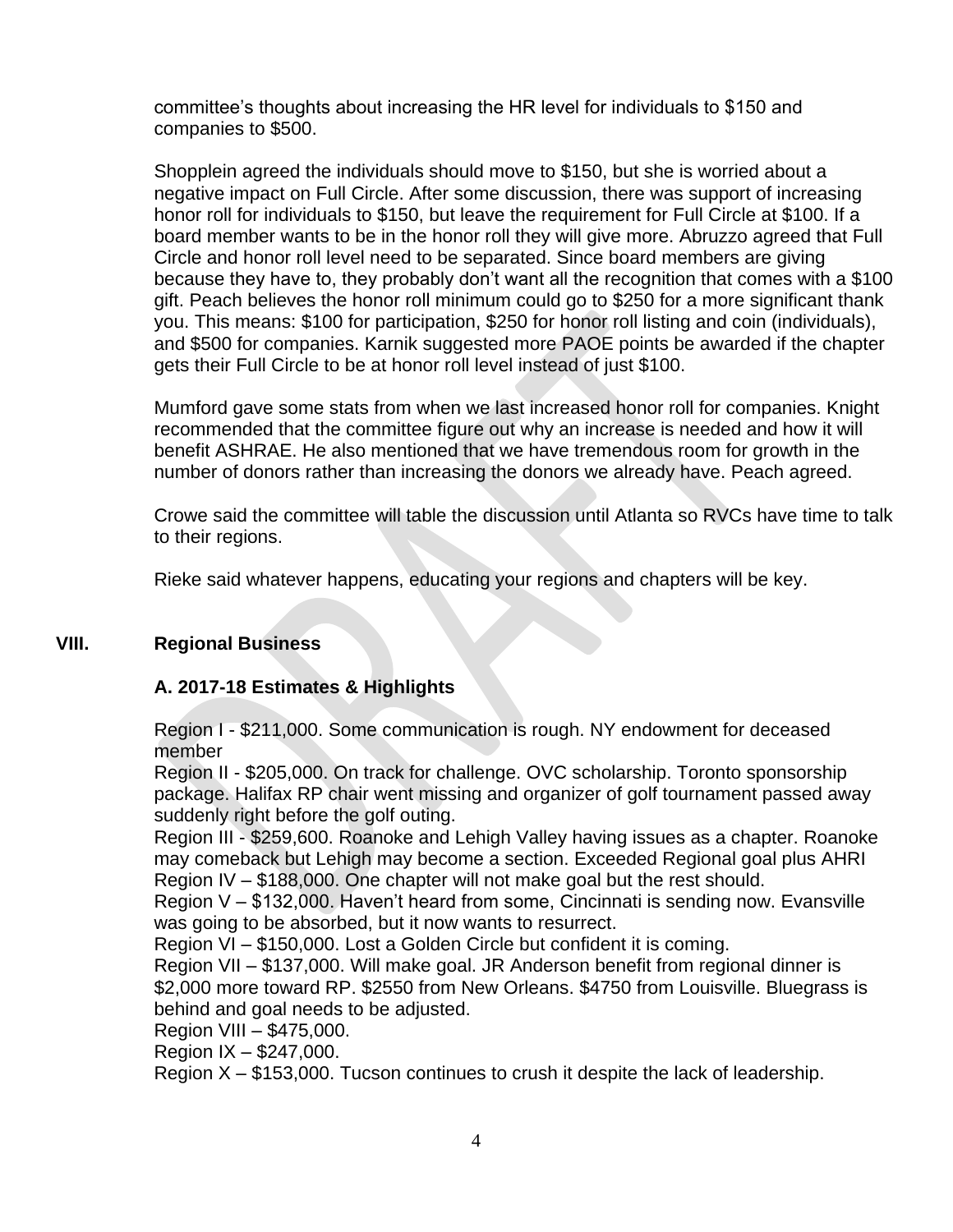committee's thoughts about increasing the HR level for individuals to \$150 and companies to \$500.

Shopplein agreed the individuals should move to \$150, but she is worried about a negative impact on Full Circle. After some discussion, there was support of increasing honor roll for individuals to \$150, but leave the requirement for Full Circle at \$100. If a board member wants to be in the honor roll they will give more. Abruzzo agreed that Full Circle and honor roll level need to be separated. Since board members are giving because they have to, they probably don't want all the recognition that comes with a \$100 gift. Peach believes the honor roll minimum could go to \$250 for a more significant thank you. This means: \$100 for participation, \$250 for honor roll listing and coin (individuals), and \$500 for companies. Karnik suggested more PAOE points be awarded if the chapter gets their Full Circle to be at honor roll level instead of just \$100.

Mumford gave some stats from when we last increased honor roll for companies. Knight recommended that the committee figure out why an increase is needed and how it will benefit ASHRAE. He also mentioned that we have tremendous room for growth in the number of donors rather than increasing the donors we already have. Peach agreed.

Crowe said the committee will table the discussion until Atlanta so RVCs have time to talk to their regions.

Rieke said whatever happens, educating your regions and chapters will be key.

## **VIII. Regional Business**

## **A. 2017-18 Estimates & Highlights**

Region I - \$211,000. Some communication is rough. NY endowment for deceased member

Region II - \$205,000. On track for challenge. OVC scholarship. Toronto sponsorship package. Halifax RP chair went missing and organizer of golf tournament passed away suddenly right before the golf outing.

Region III - \$259,600. Roanoke and Lehigh Valley having issues as a chapter. Roanoke may comeback but Lehigh may become a section. Exceeded Regional goal plus AHRI Region IV – \$188,000. One chapter will not make goal but the rest should.

Region V – \$132,000. Haven't heard from some, Cincinnati is sending now. Evansville was going to be absorbed, but it now wants to resurrect.

Region VI – \$150,000. Lost a Golden Circle but confident it is coming.

Region VII – \$137,000. Will make goal. JR Anderson benefit from regional dinner is \$2,000 more toward RP. \$2550 from New Orleans. \$4750 from Louisville. Bluegrass is behind and goal needs to be adjusted.

Region VIII – \$475,000.

Region IX – \$247,000.

Region X – \$153,000. Tucson continues to crush it despite the lack of leadership.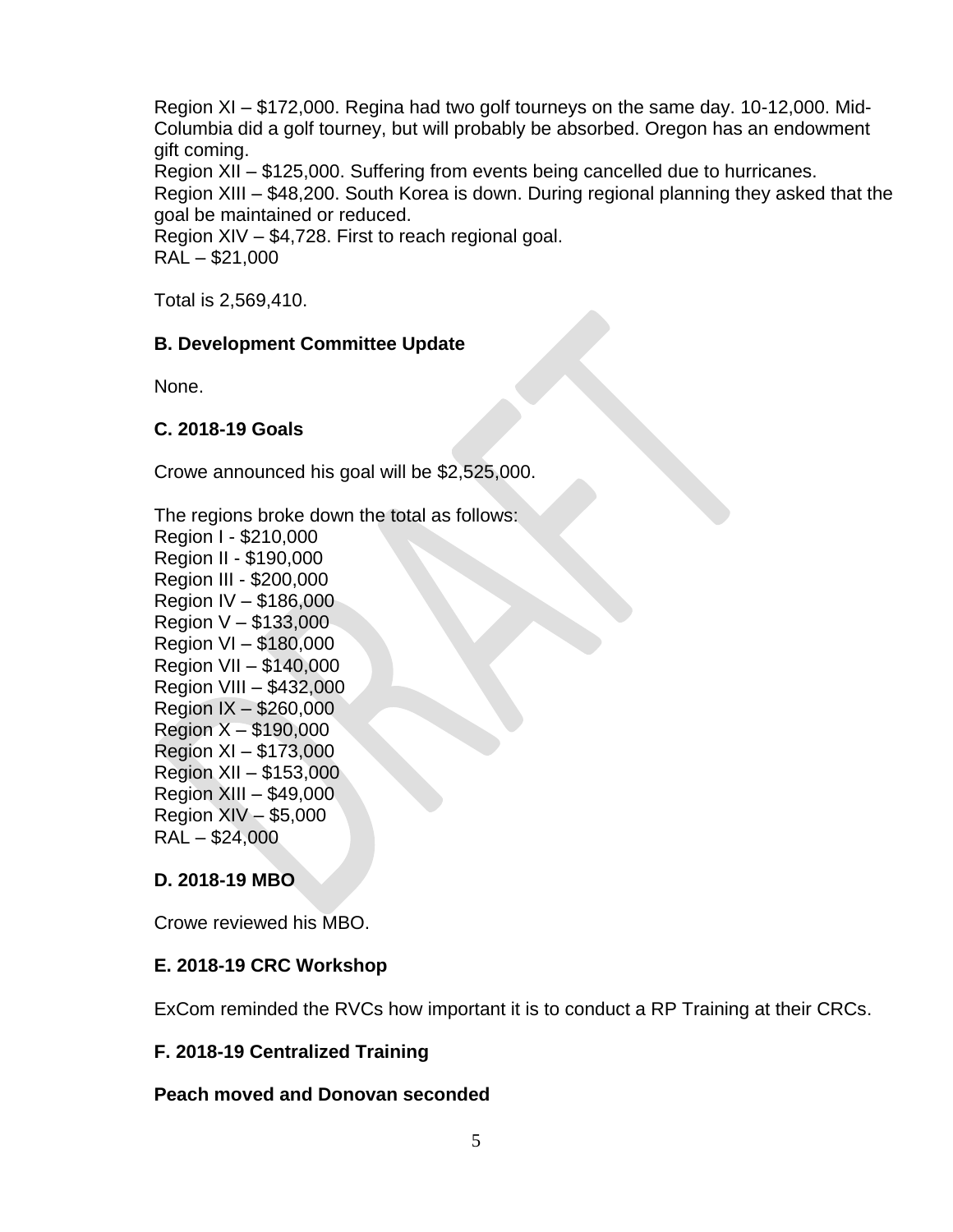Region XI – \$172,000. Regina had two golf tourneys on the same day. 10-12,000. Mid-Columbia did a golf tourney, but will probably be absorbed. Oregon has an endowment gift coming. Region XII – \$125,000. Suffering from events being cancelled due to hurricanes. Region XIII – \$48,200. South Korea is down. During regional planning they asked that the goal be maintained or reduced. Region XIV – \$4,728. First to reach regional goal. RAL – \$21,000

Total is 2,569,410.

## **B. Development Committee Update**

None.

## **C. 2018-19 Goals**

Crowe announced his goal will be \$2,525,000.

The regions broke down the total as follows:

Region I - \$210,000 Region II - \$190,000 Region III - \$200,000 Region IV – \$186,000 Region V – \$133,000 Region VI – \$180,000 Region VII – \$140,000 Region VIII – \$432,000 Region IX – \$260,000 Region X – \$190,000 Region XI – \$173,000 Region XII – \$153,000 Region XIII – \$49,000 Region XIV – \$5,000 RAL – \$24,000

## **D. 2018-19 MBO**

Crowe reviewed his MBO.

## **E. 2018-19 CRC Workshop**

ExCom reminded the RVCs how important it is to conduct a RP Training at their CRCs.

## **F. 2018-19 Centralized Training**

## **Peach moved and Donovan seconded**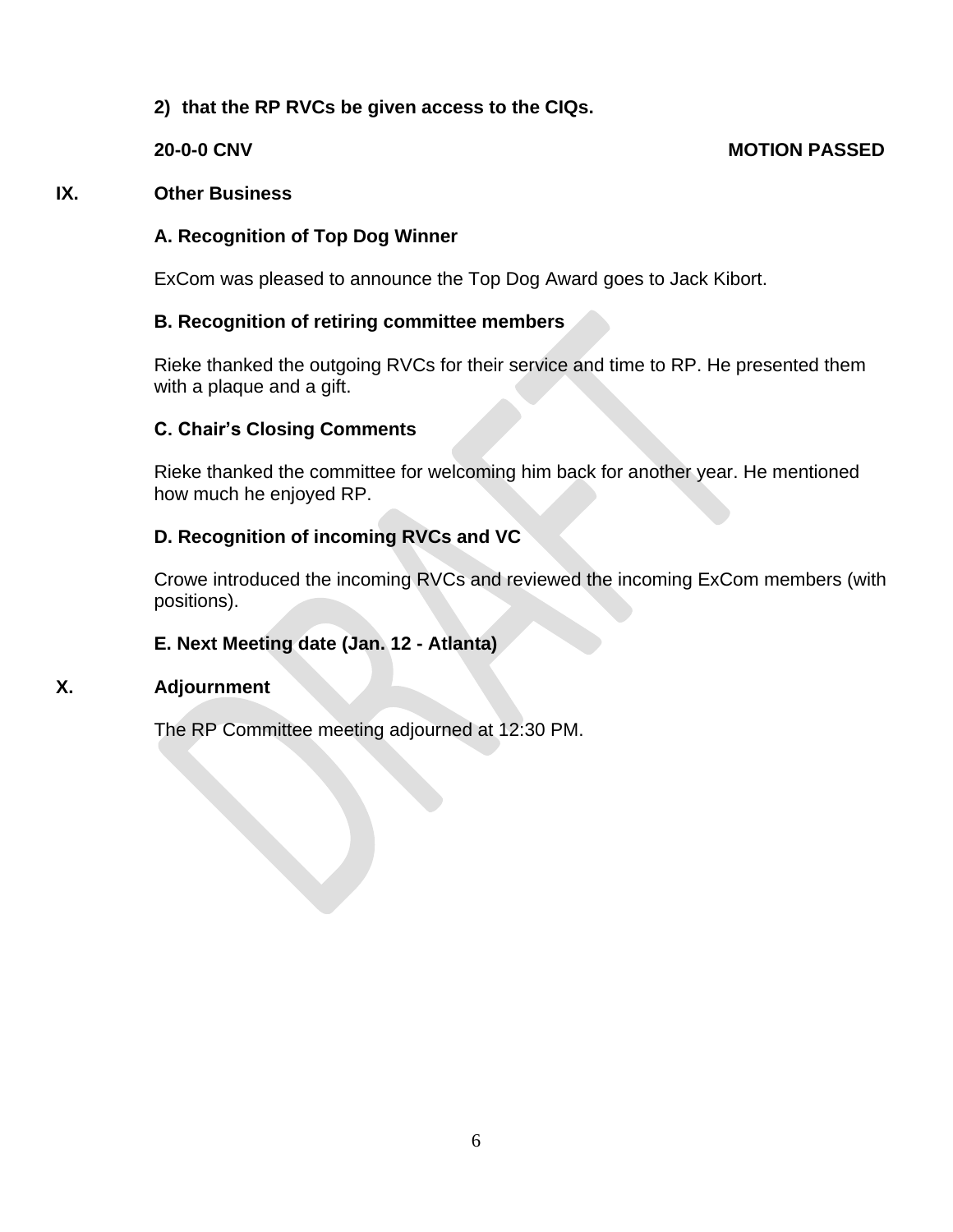## **2) that the RP RVCs be given access to the CIQs.**

## **20-0-0 CNV MOTION PASSED**

## **IX. Other Business**

## **A. Recognition of Top Dog Winner**

ExCom was pleased to announce the Top Dog Award goes to Jack Kibort.

## **B. Recognition of retiring committee members**

Rieke thanked the outgoing RVCs for their service and time to RP. He presented them with a plaque and a gift.

## **C. Chair's Closing Comments**

Rieke thanked the committee for welcoming him back for another year. He mentioned how much he enjoyed RP.

## **D. Recognition of incoming RVCs and VC**

Crowe introduced the incoming RVCs and reviewed the incoming ExCom members (with positions).

## **E. Next Meeting date (Jan. 12 - Atlanta)**

## **X. Adjournment**

The RP Committee meeting adjourned at 12:30 PM.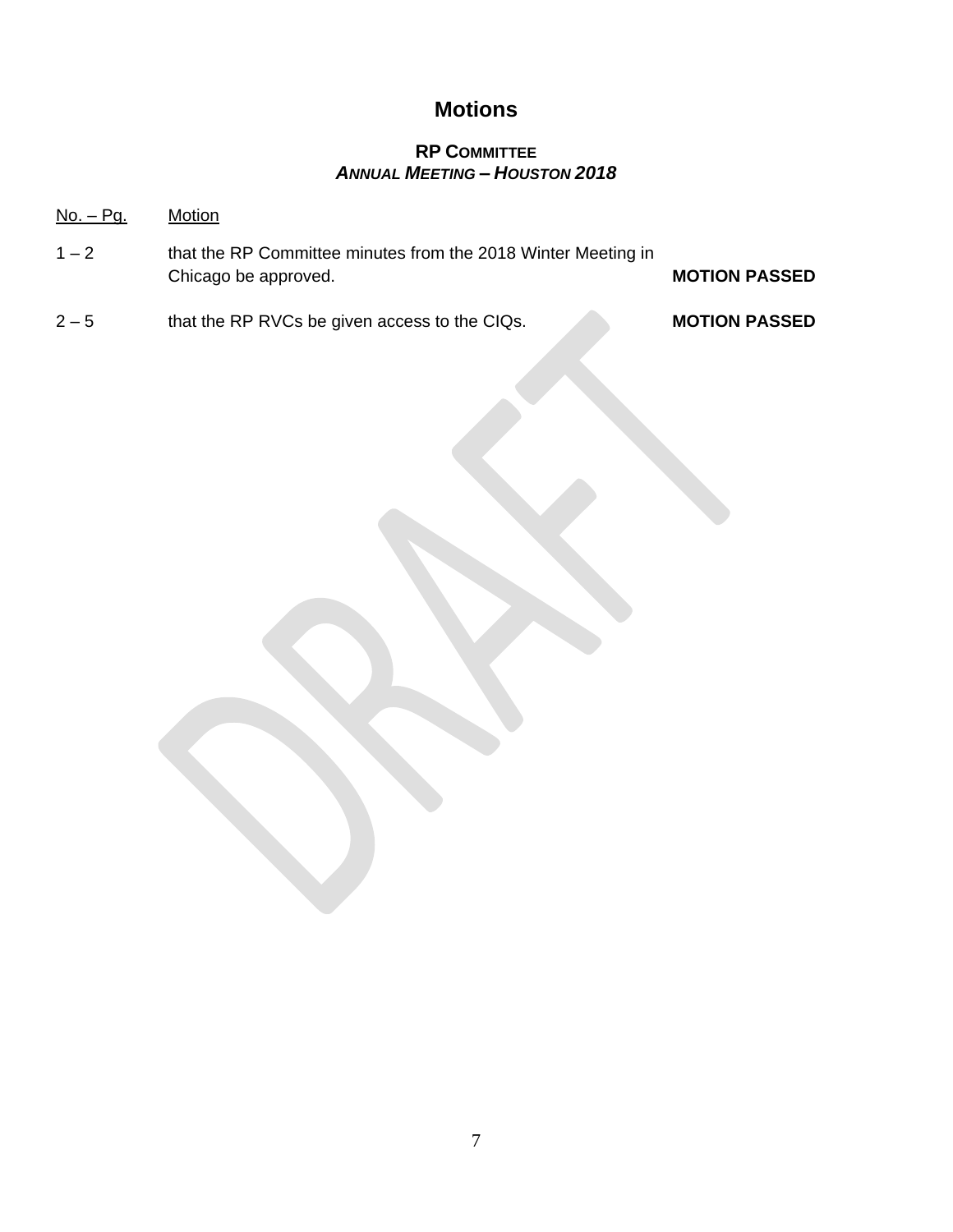## **Motions**

## **RP COMMITTEE** *ANNUAL MEETING – HOUSTON 2018*

## No. – Pg. Motion

- 1 2 that the RP Committee minutes from the 2018 Winter Meeting in Chicago be approved. **MOTION PASSED**
- 2 5 that the RP RVCs be given access to the CIQs. **MOTION PASSED**